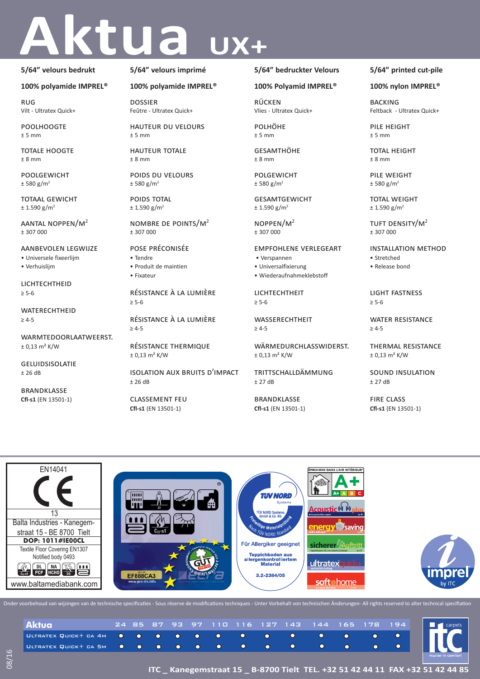# Aktua UX+

### **5/64" velours bedrukt**

### **100% polyamide IMPREL®**

rug Vilt - Ultratex Quick+

**POOLHOOGTE**  $± 5$  mm

TOTALE HOOGTE ± 8 mm

poolgewicht  $± 580 g/m<sup>2</sup>$ 

totaal gewicht  $± 1.590 g/m<sup>2</sup>$ 

aantal noppen/m<sup>2</sup> ± 307 000

aanbevolen legwijze • Universele fixeerlijm • Verhuislijm

**LICHTECHTHEID** ≥ 5-6

**WATERECHTHEID** ≥ 4-5

warmtedoorlaatweerst.  $± 0,13 m<sup>2</sup> K/W$ 

geluidsisolatie ± 26 dB

brandklasse **Cfl-s1** (EN 13501-1)

### **5/64" velours imprimé**

### **100% polyamide IMPREL®**

dossier Feûtre - Ultratex Quick+

hauteur du velours  $+5$  mm

hauteur totale ± 8 mm

poids du velours  $± 580 g/m<sup>2</sup>$ 

poids total  $± 1.590 g/m<sup>2</sup>$ 

nombre de points/m<sup>2</sup> ± 307 000

### pose préconisée

- Tendre
- Fixateur

résistance à la lumière

résistance à la lumière

isolation aux bruits d'impact

### **5/64" bedruckter Velours**

### **100% Polyamid IMPREL®**

rücken Vlies - Ultratex Quick+

polhöhe  $± 5$  mm

**GESAMTHÖHE** ± 8 mm

polgewicht  $± 580 g/m<sup>2</sup>$ 

**GESAMTGEWICHT**  $± 1.590 g/m<sup>2</sup>$ 

noppen/m<sup>2</sup> ± 307 000

## empfohlene verlegeart

- Verspannen • Universalfixierung
- Wiederaufnahmeklebstoff
- 

lichtechtheit ≥ 5-6

**WASSERECHTHEIT**  $> 4-5$ 

wärmedurchlasswiderst.  $± 0,13$  m<sup>2</sup> K/W

trittschalldämmung ± 27 dB

brandklasse **Cfl-s1** (EN 13501-1)

### **5/64" printed cut-pile**

### **100% nylon IMPREL®**

**BACKING** Feltback - Ultratex Quick+

pile height  $± 5$  mm

TOTAL HEIGHT ± 8 mm

pile weight  $± 580 g/m<sup>2</sup>$ 

**TOTAL WEIGHT**  $± 1.590 g/m<sup>2</sup>$ 

tuft density/m<sup>2</sup> ± 307 000

installation method • Stretched

• Release bond

light fastness ≥ 5-6

water resistance ≥ 4-5

thermal resistance  $± 0,13$  m<sup>2</sup> K/W

sound insulation  $±$  27 dB

fire class **Cfl-s1** (EN 13501-1)



|  |  |  |  |  |  |  | – mas: |
|--|--|--|--|--|--|--|--------|

 $±$  26 dB

≥ 5-6 ≥ 4-5

> résistance thermique  $± 0,13 m<sup>2</sup> K/W$

classement feu **Cfl-s1** (EN 13501-1)

• Produit de maintien